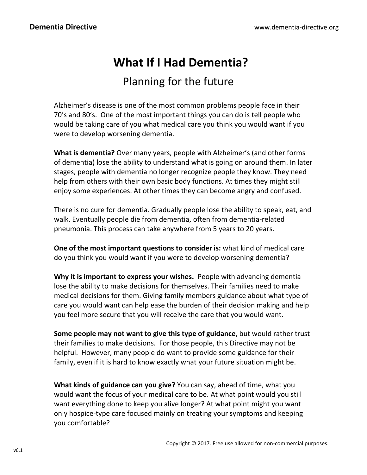# **What If I Had Dementia?**

## Planning for the future

Alzheimer's disease is one of the most common problems people face in their 70's and 80's. One of the most important things you can do is tell people who would be taking care of you what medical care you think you would want if you were to develop worsening dementia.

**What is dementia?** Over many years, people with Alzheimer's (and other forms of dementia) lose the ability to understand what is going on around them. In later stages, people with dementia no longer recognize people they know. They need help from others with their own basic body functions. At times they might still enjoy some experiences. At other times they can become angry and confused.

There is no cure for dementia. Gradually people lose the ability to speak, eat, and walk. Eventually people die from dementia, often from dementia-related pneumonia. This process can take anywhere from 5 years to 20 years.

**One of the most important questions to consider is:** what kind of medical care do you think you would want if you were to develop worsening dementia?

**Why it is important to express your wishes.** People with advancing dementia lose the ability to make decisions for themselves. Their families need to make medical decisions for them. Giving family members guidance about what type of care you would want can help ease the burden of their decision making and help you feel more secure that you will receive the care that you would want.

**Some people may not want to give this type of guidance**, but would rather trust their families to make decisions. For those people, this Directive may not be helpful. However, many people do want to provide some guidance for their family, even if it is hard to know exactly what your future situation might be.

**What kinds of guidance can you give?** You can say, ahead of time, what you would want the focus of your medical care to be. At what point would you still want everything done to keep you alive longer? At what point might you want only hospice-type care focused mainly on treating your symptoms and keeping you comfortable?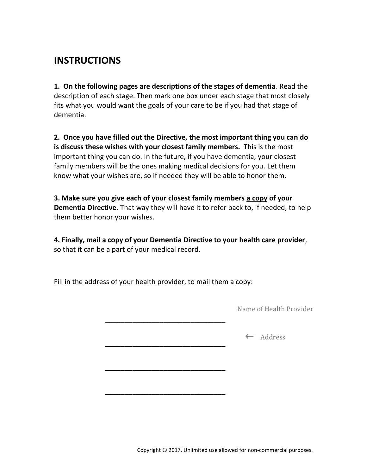## **INSTRUCTIONS**

**1. On the following pages are descriptions of the stages of dementia**. Read the description of each stage. Then mark one box under each stage that most closely fits what you would want the goals of your care to be if you had that stage of dementia.

**2. Once you have filled out the Directive, the most important thing you can do is discuss these wishes with your closest family members.** This is the most important thing you can do. In the future, if you have dementia, your closest family members will be the ones making medical decisions for you. Let them know what your wishes are, so if needed they will be able to honor them.

**3. Make sure you give each of your closest family members a copy of your Dementia Directive.** That way they will have it to refer back to, if needed, to help them better honor your wishes.

**4. Finally, mail a copy of your Dementia Directive to your health care provider**, so that it can be a part of your medical record.

Fill in the address of your health provider, to mail them a copy:

**\_\_\_\_\_\_\_\_\_\_\_\_\_\_\_\_\_\_\_\_\_\_\_\_\_\_\_\_\_\_\_**

**\_\_\_\_\_\_\_\_\_\_\_\_\_\_\_\_\_\_\_\_\_\_\_\_\_\_\_\_\_\_\_**

**\_\_\_\_\_\_\_\_\_\_\_\_\_\_\_\_\_\_\_\_\_\_\_\_\_\_\_\_\_\_\_**

**\_\_\_\_\_\_\_\_\_\_\_\_\_\_\_\_\_\_\_\_\_\_\_\_\_\_\_\_\_\_\_**

Name of Health Provider

**←** Address

Copyright © 2017. Unlimited use allowed for non-commercial purposes.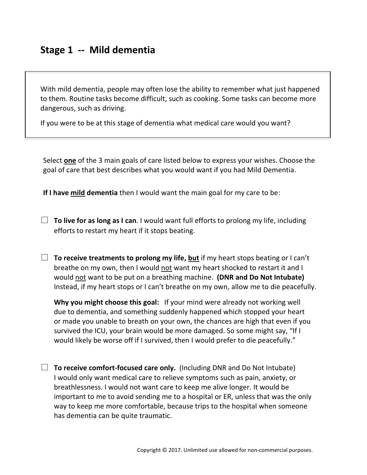With mild dementia, people may often lose the ability to remember what just happened to them. Routine tasks become difficult, such as cooking. Some tasks can become more dangerous, such as driving.

If you were to be at this stage of dementia what medical care would you want?

Select **one** of the 3 main goals of care listed below to express your wishes. Choose the goal of care that best describes what you would want if you had Mild Dementia.

**If I have mild dementia** then I would want the main goal for my care to be:

- □ **To live for as long as I can**. I would want full efforts to prolong my life, including efforts to restart my heart if it stops beating.
- $\Box$  **To receive treatments to prolong my life, but** if my heart stops beating or I can't breathe on my own, then I would not want my heart shocked to restart it and I would not want to be put on a breathing machine. **(DNR and Do Not Intubate)**  Instead, if my heart stops or I can't breathe on my own, allow me to die peacefully.

**Why you might choose this goal:** If your mind were already not working well due to dementia, and something suddenly happened which stopped your heart or made you unable to breath on your own, the chances are high that even if you survived the ICU, your brain would be more damaged. So some might say, "If I would likely be worse off if I survived, then I would prefer to die peacefully."

□ **To receive comfort-focused care only.** (Including DNR and Do Not Intubate) I would only want medical care to relieve symptoms such as pain, anxiety, or breathlessness. I would not want care to keep me alive longer. It would be important to me to avoid sending me to a hospital or ER, unless that was the only way to keep me more comfortable, because trips to the hospital when someone has dementia can be quite traumatic.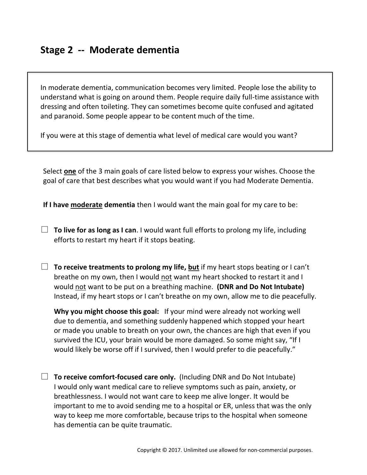## **Stage 2 -- Moderate dementia**

In moderate dementia, communication becomes very limited. People lose the ability to understand what is going on around them. People require daily full-time assistance with dressing and often toileting. They can sometimes become quite confused and agitated and paranoid. Some people appear to be content much of the time.

If you were at this stage of dementia what level of medical care would you want?

Select **one** of the 3 main goals of care listed below to express your wishes. Choose the goal of care that best describes what you would want if you had Moderate Dementia.

**If I have moderate dementia** then I would want the main goal for my care to be:

- □ **To live for as long as I can**. I would want full efforts to prolong my life, including efforts to restart my heart if it stops beating.
- $\Box$  **To receive treatments to prolong my life, but** if my heart stops beating or I can't breathe on my own, then I would not want my heart shocked to restart it and I would not want to be put on a breathing machine. **(DNR and Do Not Intubate)**  Instead, if my heart stops or I can't breathe on my own, allow me to die peacefully.

**Why you might choose this goal:** If your mind were already not working well due to dementia, and something suddenly happened which stopped your heart or made you unable to breath on your own, the chances are high that even if you survived the ICU, your brain would be more damaged. So some might say, "If I would likely be worse off if I survived, then I would prefer to die peacefully."

□ **To receive comfort-focused care only.** (Including DNR and Do Not Intubate) I would only want medical care to relieve symptoms such as pain, anxiety, or breathlessness. I would not want care to keep me alive longer. It would be important to me to avoid sending me to a hospital or ER, unless that was the only way to keep me more comfortable, because trips to the hospital when someone has dementia can be quite traumatic.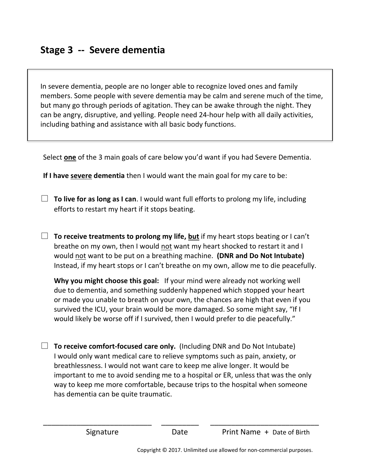In severe dementia, people are no longer able to recognize loved ones and family members. Some people with severe dementia may be calm and serene much of the time, but many go through periods of agitation. They can be awake through the night. They can be angry, disruptive, and yelling. People need 24-hour help with all daily activities, including bathing and assistance with all basic body functions.

Select **one** of the 3 main goals of care below you'd want if you had Severe Dementia.

**If I have severe dementia** then I would want the main goal for my care to be:

- $\Box$  **To live for as long as I can**. I would want full efforts to prolong my life, including efforts to restart my heart if it stops beating.
- $\Box$  **To receive treatments to prolong my life, but** if my heart stops beating or I can't breathe on my own, then I would not want my heart shocked to restart it and I would not want to be put on a breathing machine. **(DNR and Do Not Intubate)**  Instead, if my heart stops or I can't breathe on my own, allow me to die peacefully.

**Why you might choose this goal:** If your mind were already not working well due to dementia, and something suddenly happened which stopped your heart or made you unable to breath on your own, the chances are high that even if you survived the ICU, your brain would be more damaged. So some might say, "If I would likely be worse off if I survived, then I would prefer to die peacefully."

□ **To receive comfort-focused care only.** (Including DNR and Do Not Intubate) I would only want medical care to relieve symptoms such as pain, anxiety, or breathlessness. I would not want care to keep me alive longer. It would be important to me to avoid sending me to a hospital or ER, unless that was the only way to keep me more comfortable, because trips to the hospital when someone has dementia can be quite traumatic.